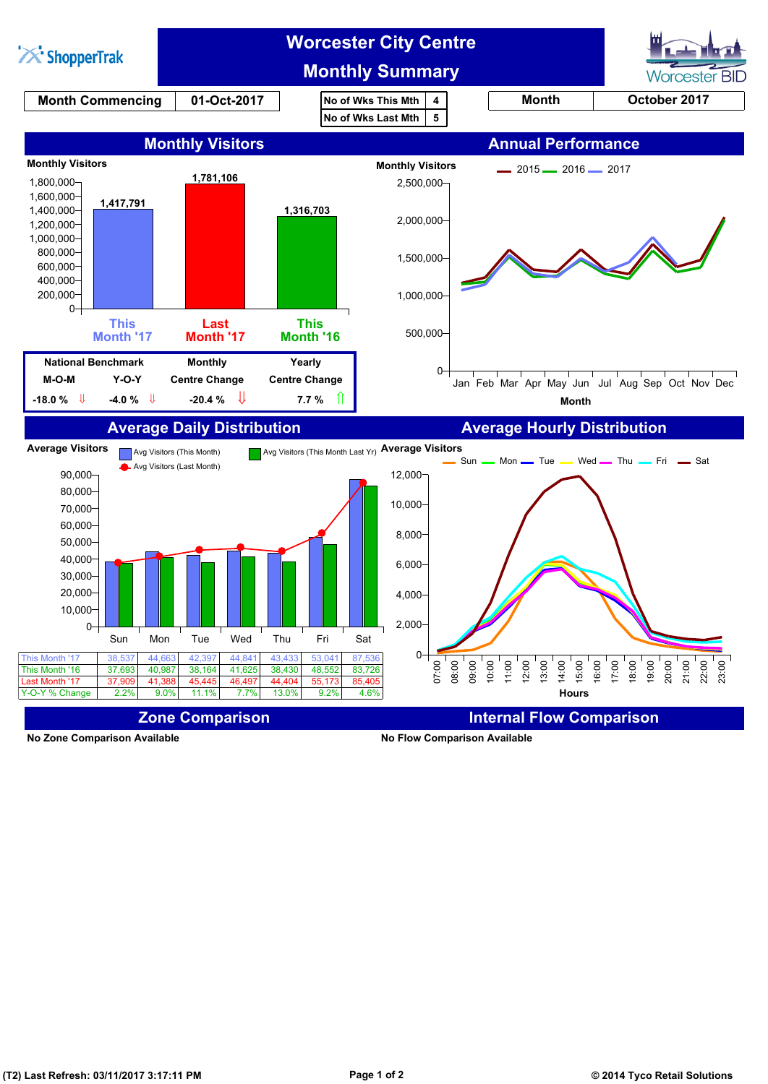

**No Zone Comparison Available No Flow Comparison Available**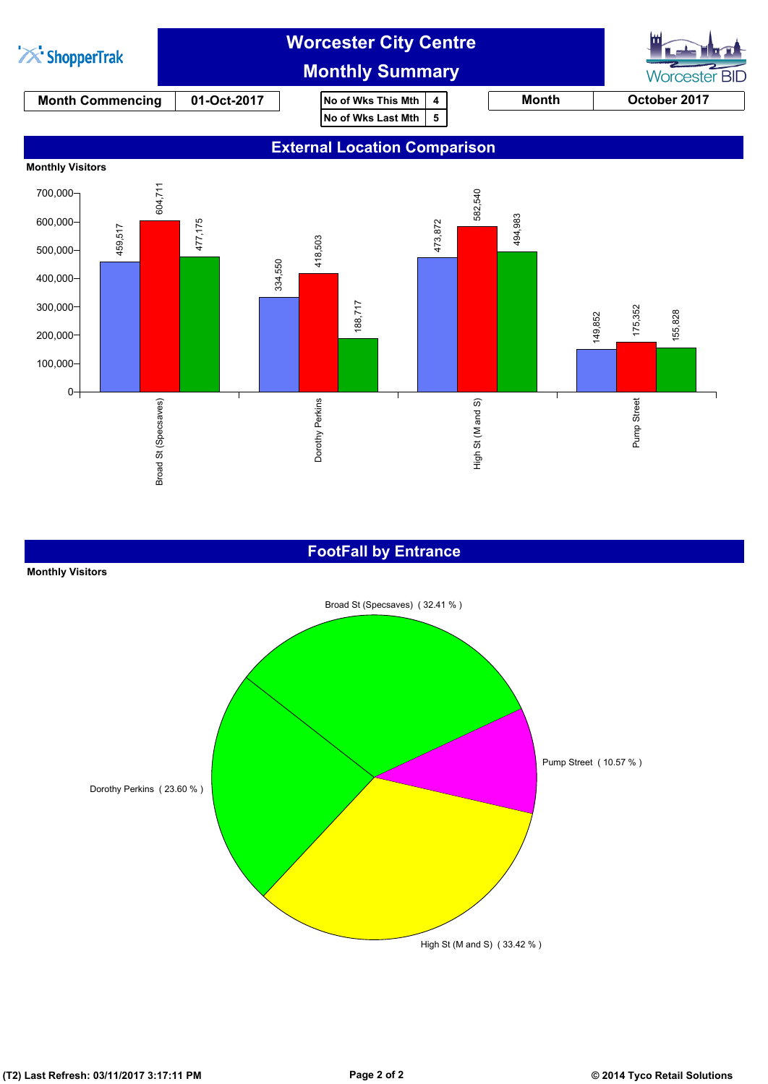

#### **FootFall by Entrance**